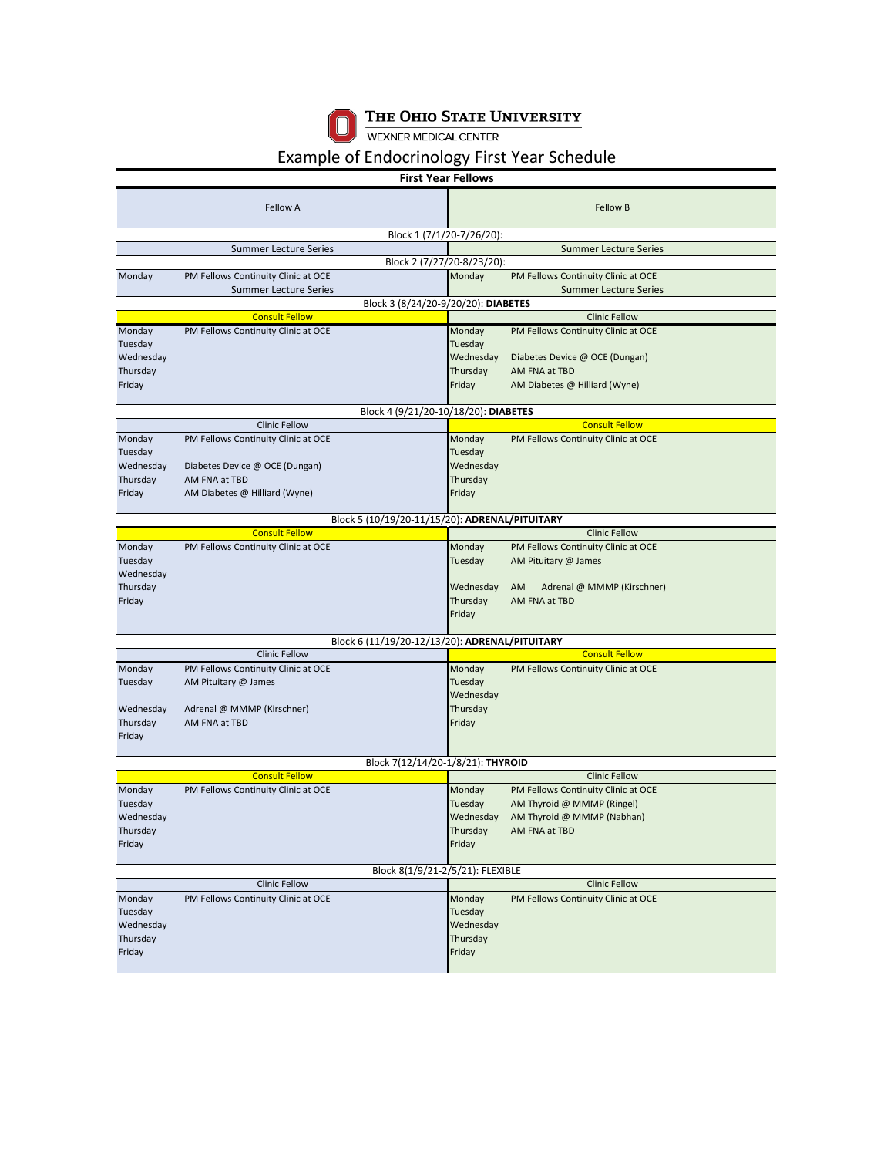

THE OHIO STATE UNIVERSITY<br>WEXNER MEDICAL CENTER

## Example of Endocrinology First Year Schedule

| <b>First Year Fellows</b>                      |                                                |                                      |                   |                                     |  |  |  |
|------------------------------------------------|------------------------------------------------|--------------------------------------|-------------------|-------------------------------------|--|--|--|
|                                                | <b>Fellow A</b>                                |                                      |                   | Fellow B                            |  |  |  |
|                                                |                                                | Block 1 (7/1/20-7/26/20):            |                   |                                     |  |  |  |
|                                                | <b>Summer Lecture Series</b>                   |                                      |                   | <b>Summer Lecture Series</b>        |  |  |  |
|                                                |                                                | Block 2 (7/27/20-8/23/20):           |                   |                                     |  |  |  |
| Monday                                         | PM Fellows Continuity Clinic at OCE            |                                      | Monday            | PM Fellows Continuity Clinic at OCE |  |  |  |
|                                                | <b>Summer Lecture Series</b>                   |                                      |                   | <b>Summer Lecture Series</b>        |  |  |  |
|                                                |                                                | Block 3 (8/24/20-9/20/20): DIABETES  |                   |                                     |  |  |  |
|                                                | <b>Consult Fellow</b>                          |                                      |                   | <b>Clinic Fellow</b>                |  |  |  |
| Monday                                         | PM Fellows Continuity Clinic at OCE            |                                      | Monday            | PM Fellows Continuity Clinic at OCE |  |  |  |
| Tuesday                                        |                                                |                                      | Tuesday           |                                     |  |  |  |
| Wednesday                                      |                                                |                                      | Wednesday         | Diabetes Device @ OCE (Dungan)      |  |  |  |
| Thursday                                       |                                                |                                      | Thursday          | AM FNA at TBD                       |  |  |  |
| Friday                                         |                                                |                                      | Friday            | AM Diabetes @ Hilliard (Wyne)       |  |  |  |
|                                                |                                                |                                      |                   |                                     |  |  |  |
|                                                | <b>Clinic Fellow</b>                           | Block 4 (9/21/20-10/18/20): DIABETES |                   | <b>Consult Fellow</b>               |  |  |  |
|                                                |                                                |                                      |                   |                                     |  |  |  |
| Monday<br>Tuesday                              | PM Fellows Continuity Clinic at OCE            |                                      | Monday<br>Tuesday | PM Fellows Continuity Clinic at OCE |  |  |  |
| Wednesday                                      | Diabetes Device @ OCE (Dungan)                 |                                      | Wednesday         |                                     |  |  |  |
| Thursday                                       | AM FNA at TBD                                  |                                      | Thursday          |                                     |  |  |  |
| Friday                                         | AM Diabetes @ Hilliard (Wyne)                  |                                      | Friday            |                                     |  |  |  |
|                                                |                                                |                                      |                   |                                     |  |  |  |
| Block 5 (10/19/20-11/15/20): ADRENAL/PITUITARY |                                                |                                      |                   |                                     |  |  |  |
|                                                | <b>Consult Fellow</b>                          |                                      |                   | <b>Clinic Fellow</b>                |  |  |  |
| Monday                                         | PM Fellows Continuity Clinic at OCE            |                                      | Monday            | PM Fellows Continuity Clinic at OCE |  |  |  |
| Tuesday                                        |                                                |                                      | Tuesday           | AM Pituitary @ James                |  |  |  |
| Wednesday                                      |                                                |                                      |                   |                                     |  |  |  |
| Thursday                                       |                                                |                                      | Wednesday         | AM<br>Adrenal @ MMMP (Kirschner)    |  |  |  |
| Friday                                         |                                                |                                      | Thursday          | AM FNA at TBD                       |  |  |  |
|                                                |                                                |                                      | Friday            |                                     |  |  |  |
|                                                |                                                |                                      |                   |                                     |  |  |  |
|                                                | Block 6 (11/19/20-12/13/20): ADRENAL/PITUITARY |                                      |                   |                                     |  |  |  |
|                                                | <b>Clinic Fellow</b>                           |                                      |                   | <b>Consult Fellow</b>               |  |  |  |
| Monday                                         | PM Fellows Continuity Clinic at OCE            |                                      | Monday            | PM Fellows Continuity Clinic at OCE |  |  |  |
| Tuesday                                        | AM Pituitary @ James                           |                                      | Tuesday           |                                     |  |  |  |
|                                                |                                                |                                      | Wednesday         |                                     |  |  |  |
| Wednesday                                      | Adrenal @ MMMP (Kirschner)<br>AM FNA at TBD    |                                      | Thursday          |                                     |  |  |  |
| Thursday<br>Friday                             |                                                |                                      | Friday            |                                     |  |  |  |
|                                                |                                                |                                      |                   |                                     |  |  |  |
| Block 7(12/14/20-1/8/21): THYROID              |                                                |                                      |                   |                                     |  |  |  |
|                                                | <b>Consult Fellow</b>                          |                                      |                   | <b>Clinic Fellow</b>                |  |  |  |
| Monday                                         | PM Fellows Continuity Clinic at OCE            |                                      | Monday            | PM Fellows Continuity Clinic at OCE |  |  |  |
| Tuesday                                        |                                                |                                      | Tuesday           | AM Thyroid @ MMMP (Ringel)          |  |  |  |
| Wednesday                                      |                                                |                                      | Wednesday         | AM Thyroid @ MMMP (Nabhan)          |  |  |  |
| Thursday                                       |                                                |                                      | Thursday          | AM FNA at TBD                       |  |  |  |
| Friday                                         |                                                |                                      | Friday            |                                     |  |  |  |
|                                                |                                                |                                      |                   |                                     |  |  |  |
|                                                |                                                | Block 8(1/9/21-2/5/21): FLEXIBLE     |                   |                                     |  |  |  |
|                                                | <b>Clinic Fellow</b>                           |                                      |                   | <b>Clinic Fellow</b>                |  |  |  |
| Monday                                         | PM Fellows Continuity Clinic at OCE            |                                      | Monday            | PM Fellows Continuity Clinic at OCE |  |  |  |
| Tuesday                                        |                                                |                                      | Tuesday           |                                     |  |  |  |
| Wednesday                                      |                                                |                                      | Wednesday         |                                     |  |  |  |
| Thursday                                       |                                                |                                      | Thursday          |                                     |  |  |  |
| Friday                                         |                                                |                                      | Friday            |                                     |  |  |  |
|                                                |                                                |                                      |                   |                                     |  |  |  |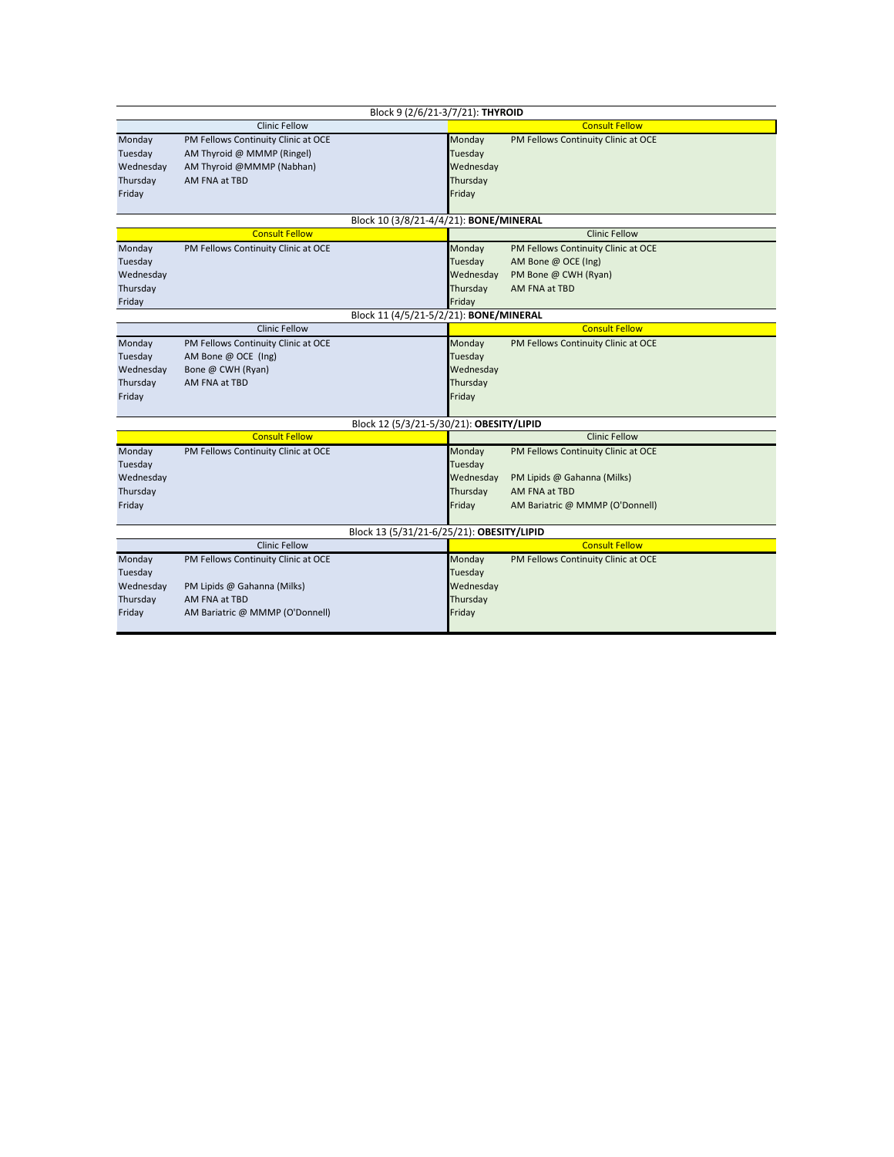| Block 9 (2/6/21-3/7/21): THYROID          |                                     |                                          |                                     |  |  |  |  |
|-------------------------------------------|-------------------------------------|------------------------------------------|-------------------------------------|--|--|--|--|
|                                           | <b>Clinic Fellow</b>                |                                          | <b>Consult Fellow</b>               |  |  |  |  |
| Monday                                    | PM Fellows Continuity Clinic at OCE | Monday                                   | PM Fellows Continuity Clinic at OCE |  |  |  |  |
| Tuesday                                   | AM Thyroid @ MMMP (Ringel)          | Tuesday                                  |                                     |  |  |  |  |
| Wednesday                                 | AM Thyroid @MMMP (Nabhan)           | Wednesday                                |                                     |  |  |  |  |
| Thursday                                  | AM FNA at TBD                       | Thursday                                 |                                     |  |  |  |  |
| Friday                                    |                                     | Friday                                   |                                     |  |  |  |  |
|                                           |                                     |                                          |                                     |  |  |  |  |
| Block 10 (3/8/21-4/4/21): BONE/MINERAL    |                                     |                                          |                                     |  |  |  |  |
|                                           | <b>Consult Fellow</b>               |                                          | <b>Clinic Fellow</b>                |  |  |  |  |
| Monday                                    | PM Fellows Continuity Clinic at OCE | Monday                                   | PM Fellows Continuity Clinic at OCE |  |  |  |  |
| Tuesday                                   |                                     | Tuesday                                  | AM Bone @ OCE (Ing)                 |  |  |  |  |
| Wednesday                                 |                                     | Wednesday                                | PM Bone @ CWH (Ryan)                |  |  |  |  |
| Thursday                                  |                                     | Thursday                                 | AM FNA at TBD                       |  |  |  |  |
| Friday                                    |                                     | Friday                                   |                                     |  |  |  |  |
| Block 11 (4/5/21-5/2/21): BONE/MINERAL    |                                     |                                          |                                     |  |  |  |  |
|                                           | <b>Clinic Fellow</b>                |                                          | <b>Consult Fellow</b>               |  |  |  |  |
| Monday                                    | PM Fellows Continuity Clinic at OCE | Monday                                   | PM Fellows Continuity Clinic at OCE |  |  |  |  |
| Tuesday                                   | AM Bone @ OCE (Ing)                 | Tuesday                                  |                                     |  |  |  |  |
| Wednesday                                 | Bone @ CWH (Ryan)                   | Wednesday                                |                                     |  |  |  |  |
| Thursday                                  | AM FNA at TBD                       | Thursday                                 |                                     |  |  |  |  |
| Friday                                    |                                     | Friday                                   |                                     |  |  |  |  |
|                                           |                                     |                                          |                                     |  |  |  |  |
|                                           |                                     | Block 12 (5/3/21-5/30/21): OBESITY/LIPID |                                     |  |  |  |  |
|                                           | <b>Consult Fellow</b>               |                                          | <b>Clinic Fellow</b>                |  |  |  |  |
| Monday                                    | PM Fellows Continuity Clinic at OCE | Monday                                   | PM Fellows Continuity Clinic at OCE |  |  |  |  |
| Tuesday                                   |                                     | Tuesday                                  |                                     |  |  |  |  |
| Wednesday                                 |                                     | Wednesday                                | PM Lipids @ Gahanna (Milks)         |  |  |  |  |
| Thursday                                  |                                     | Thursday                                 | AM FNA at TBD                       |  |  |  |  |
| Friday                                    |                                     | Friday                                   | AM Bariatric @ MMMP (O'Donnell)     |  |  |  |  |
|                                           |                                     |                                          |                                     |  |  |  |  |
| Block 13 (5/31/21-6/25/21): OBESITY/LIPID |                                     |                                          |                                     |  |  |  |  |
|                                           | <b>Clinic Fellow</b>                |                                          | <b>Consult Fellow</b>               |  |  |  |  |
| Monday                                    | PM Fellows Continuity Clinic at OCE | Monday                                   | PM Fellows Continuity Clinic at OCE |  |  |  |  |
| Tuesday                                   |                                     | Tuesday                                  |                                     |  |  |  |  |
| Wednesday                                 | PM Lipids @ Gahanna (Milks)         | Wednesday                                |                                     |  |  |  |  |
| Thursday                                  | AM FNA at TBD                       | Thursday                                 |                                     |  |  |  |  |
| Friday                                    | AM Bariatric @ MMMP (O'Donnell)     | Friday                                   |                                     |  |  |  |  |
|                                           |                                     |                                          |                                     |  |  |  |  |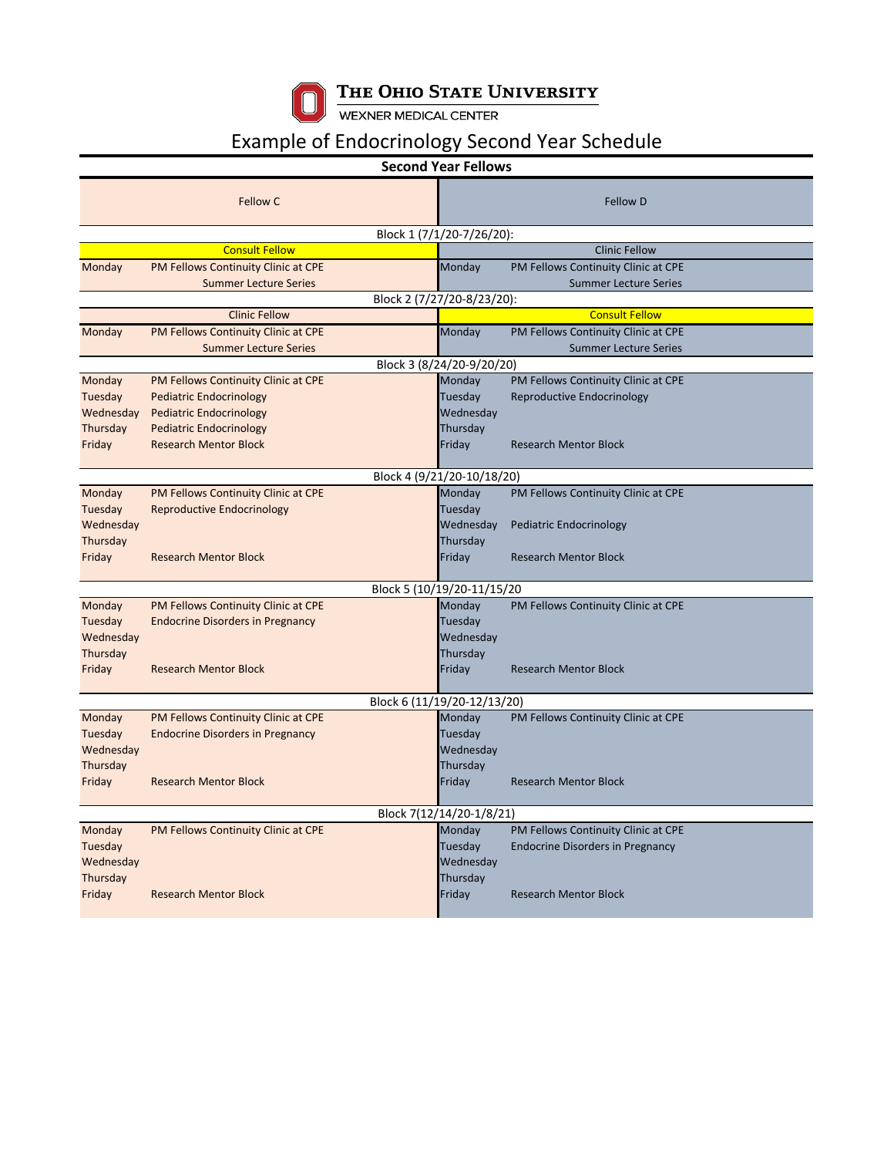

## THE OHIO STATE UNIVERSITY<br>WEXNER MEDICAL CENTER

## Example of Endocrinology Second Year Schedule

|                             |                                         | <b>Second Year Fellows</b> |                                     |  |  |  |  |  |
|-----------------------------|-----------------------------------------|----------------------------|-------------------------------------|--|--|--|--|--|
|                             | Fellow C                                |                            | <b>Fellow D</b>                     |  |  |  |  |  |
| Block 1 (7/1/20-7/26/20):   |                                         |                            |                                     |  |  |  |  |  |
|                             | <b>Consult Fellow</b>                   |                            | <b>Clinic Fellow</b>                |  |  |  |  |  |
| Monday                      | PM Fellows Continuity Clinic at CPE     | Monday                     | PM Fellows Continuity Clinic at CPE |  |  |  |  |  |
|                             | <b>Summer Lecture Series</b>            |                            | <b>Summer Lecture Series</b>        |  |  |  |  |  |
| Block 2 (7/27/20-8/23/20):  |                                         |                            |                                     |  |  |  |  |  |
|                             | <b>Clinic Fellow</b>                    |                            | <b>Consult Fellow</b>               |  |  |  |  |  |
| Monday                      | PM Fellows Continuity Clinic at CPE     | Monday                     | PM Fellows Continuity Clinic at CPE |  |  |  |  |  |
|                             | <b>Summer Lecture Series</b>            |                            | <b>Summer Lecture Series</b>        |  |  |  |  |  |
|                             |                                         | Block 3 (8/24/20-9/20/20)  |                                     |  |  |  |  |  |
| Monday                      | PM Fellows Continuity Clinic at CPE     | Monday                     | PM Fellows Continuity Clinic at CPE |  |  |  |  |  |
| Tuesday                     | <b>Pediatric Endocrinology</b>          | Tuesday                    | Reproductive Endocrinology          |  |  |  |  |  |
| Wednesday                   | <b>Pediatric Endocrinology</b>          | Wednesday                  |                                     |  |  |  |  |  |
| Thursday                    | <b>Pediatric Endocrinology</b>          | Thursday                   |                                     |  |  |  |  |  |
| Friday                      | <b>Research Mentor Block</b>            | Friday                     | <b>Research Mentor Block</b>        |  |  |  |  |  |
|                             |                                         |                            |                                     |  |  |  |  |  |
|                             |                                         | Block 4 (9/21/20-10/18/20) |                                     |  |  |  |  |  |
| Monday                      | PM Fellows Continuity Clinic at CPE     | Monday                     | PM Fellows Continuity Clinic at CPE |  |  |  |  |  |
| Tuesday                     | <b>Reproductive Endocrinology</b>       | Tuesday                    |                                     |  |  |  |  |  |
| Wednesday                   |                                         | Wednesday                  | <b>Pediatric Endocrinology</b>      |  |  |  |  |  |
| Thursday                    |                                         | Thursday                   |                                     |  |  |  |  |  |
| Friday                      | <b>Research Mentor Block</b>            | Friday                     | <b>Research Mentor Block</b>        |  |  |  |  |  |
|                             |                                         |                            |                                     |  |  |  |  |  |
|                             |                                         | Block 5 (10/19/20-11/15/20 |                                     |  |  |  |  |  |
| Monday                      | PM Fellows Continuity Clinic at CPE     | Monday                     | PM Fellows Continuity Clinic at CPE |  |  |  |  |  |
| Tuesday                     | <b>Endocrine Disorders in Pregnancy</b> | Tuesday                    |                                     |  |  |  |  |  |
| Wednesday                   |                                         | Wednesday                  |                                     |  |  |  |  |  |
| Thursday                    |                                         | Thursday                   |                                     |  |  |  |  |  |
| Friday                      | <b>Research Mentor Block</b>            | Friday                     | <b>Research Mentor Block</b>        |  |  |  |  |  |
|                             |                                         |                            |                                     |  |  |  |  |  |
| Block 6 (11/19/20-12/13/20) |                                         |                            |                                     |  |  |  |  |  |
| Monday                      | PM Fellows Continuity Clinic at CPE     | Monday                     | PM Fellows Continuity Clinic at CPE |  |  |  |  |  |
| Tuesday                     | <b>Endocrine Disorders in Pregnancy</b> | Tuesday                    |                                     |  |  |  |  |  |
| Wednesday                   |                                         | Wednesday                  |                                     |  |  |  |  |  |
| Thursday                    |                                         | Thursday                   |                                     |  |  |  |  |  |
| Friday                      | <b>Research Mentor Block</b>            | Friday                     | <b>Research Mentor Block</b>        |  |  |  |  |  |
| Block 7(12/14/20-1/8/21)    |                                         |                            |                                     |  |  |  |  |  |
| Monday                      | PM Fellows Continuity Clinic at CPE     | Monday                     | PM Fellows Continuity Clinic at CPE |  |  |  |  |  |
| Tuesday                     |                                         | Tuesday                    | Endocrine Disorders in Pregnancy    |  |  |  |  |  |
| Wednesday                   |                                         | Wednesday                  |                                     |  |  |  |  |  |
| Thursday                    |                                         | Thursday                   |                                     |  |  |  |  |  |
| Friday                      | <b>Research Mentor Block</b>            | Friday                     | <b>Research Mentor Block</b>        |  |  |  |  |  |
|                             |                                         |                            |                                     |  |  |  |  |  |